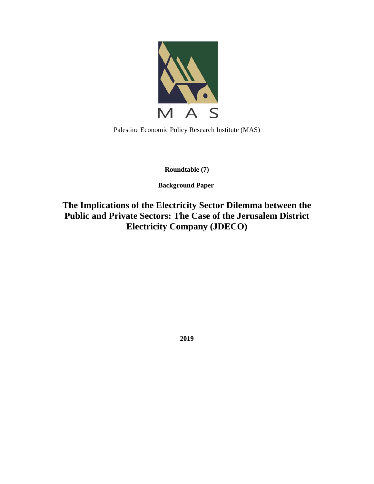

Palestine Economic Policy Research Institute (MAS)

**Roundtable (7)**

 **Background Paper** 

**The Implications of the Electricity Sector Dilemma between the Public and Private Sectors: The Case of the Jerusalem District Electricity Company (JDECO)** 

**2019**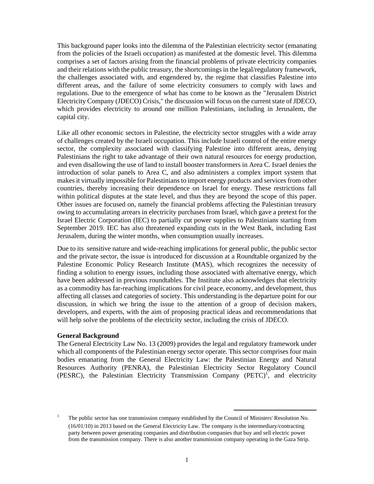This background paper looks into the dilemma of the Palestinian electricity sector (emanating from the policies of the Israeli occupation) as manifested at the domestic level. This dilemma comprises a set of factors arising from the financial problems of private electricity companies and their relations with the public treasury, the shortcomings in the legal/regulatory framework, the challenges associated with, and engendered by, the regime that classifies Palestine into different areas, and the failure of some electricity consumers to comply with laws and regulations. Due to the emergence of what has come to be known as the "Jerusalem District Electricity Company (JDECO) Crisis," the discussion will focus on the current state of JDECO, which provides electricity to around one million Palestinians, including in Jerusalem, the capital city.

Like all other economic sectors in Palestine, the electricity sector struggles with a wide array of challenges created by the Israeli occupation. This include Israeli control of the entire energy sector, the complexity associated with classifying Palestine into different areas, denying Palestinians the right to take advantage of their own natural resources for energy production, and even disallowing the use of land to install booster transformers in Area C. Israel denies the introduction of solar panels to Area C, and also administers a complex import system that makes it virtually impossible for Palestinians to import energy products and services from other countries, thereby increasing their dependence on Israel for energy. These restrictions fall within political disputes at the state level, and thus they are beyond the scope of this paper. Other issues are focused on, namely the financial problems affecting the Palestinian treasury owing to accumulating arrears in electricity purchases from Israel, which gave a pretext for the Israel Electric Corporation (IEC) to partially cut power supplies to Palestinians starting from September 2019. IEC has also threatened expanding cuts in the West Bank, including East Jerusalem, during the winter months, when consumption usually increases.

Due to its sensitive nature and wide-reaching implications for general public, the public sector and the private sector, the issue is introduced for discussion at a Roundtable organized by the Palestine Economic Policy Research Institute (MAS), which recognizes the necessity of finding a solution to energy issues, including those associated with alternative energy, which have been addressed in previous roundtables. The Institute also acknowledges that electricity as a commodity has far-reaching implications for civil peace, economy, and development, thus affecting all classes and categories of society. This understanding is the departure point for our discussion, in which we bring the issue to the attention of a group of decision makers, developers, and experts, with the aim of proposing practical ideas and recommendations that will help solve the problems of the electricity sector, including the crisis of JDECO.

### **General Background**

The General Electricity Law No. 13 (2009) provides the legal and regulatory framework under which all components of the Palestinian energy sector operate. This sector comprises four main bodies emanating from the General Electricity Law: the Palestinian Energy and Natural Resources Authority (PENRA), the Palestinian Electricity Sector Regulatory Council (PESRC), the Palestinian Electricity Transmission Company (PETC)<sup>1</sup>, and electricity

<sup>&</sup>lt;sup>1</sup> The public sector has one transmission company established by the Council of Ministers' Resolution No. (16/01/10) in 2013 based on the General Electricity Law. The company is the intermediary/contracting party between power generating companies and distribution companies that buy and sell electric power from the transmission company. There is also another transmission company operating in the Gaza Strip.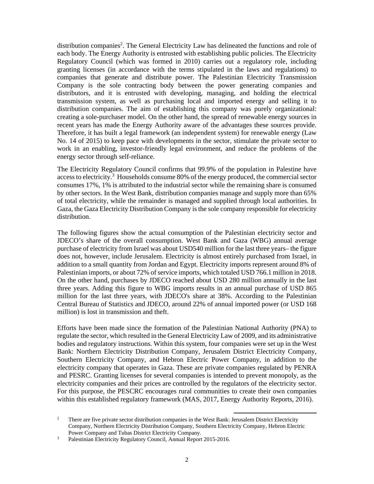distribution companies<sup>2</sup>. The General Electricity Law has delineated the functions and role of each body. The Energy Authority is entrusted with establishing public policies. The Electricity Regulatory Council (which was formed in 2010) carries out a regulatory role, including granting licenses (in accordance with the terms stipulated in the laws and regulations) to companies that generate and distribute power. The Palestinian Electricity Transmission Company is the sole contracting body between the power generating companies and distributors, and it is entrusted with developing, managing, and holding the electrical transmission system, as well as purchasing local and imported energy and selling it to distribution companies. The aim of establishing this company was purely organizational: creating a sole-purchaser model. On the other hand, the spread of renewable energy sources in recent years has made the Energy Authority aware of the advantages these sources provide. Therefore, it has built a legal framework (an independent system) for renewable energy (Law No. 14 of 2015) to keep pace with developments in the sector, stimulate the private sector to work in an enabling, investor-friendly legal environment, and reduce the problems of the energy sector through self-reliance.

The Electricity Regulatory Council confirms that 99.9% of the population in Palestine have access to electricity.<sup>3</sup> Households consume 80% of the energy produced, the commercial sector consumes 17%, 1% is attributed to the industrial sector while the remaining share is consumed by other sectors. In the West Bank, distribution companies manage and supply more than 65% of total electricity, while the remainder is managed and supplied through local authorities. In Gaza, the Gaza Electricity Distribution Company is the sole company responsible for electricity distribution.

The following figures show the actual consumption of the Palestinian electricity sector and JDECO's share of the overall consumption. West Bank and Gaza (WBG) annual average purchase of electricity from Israel was about USD540 million for the last three years– the figure does not, however, include Jerusalem. Electricity is almost entirely purchased from Israel, in addition to a small quantity from Jordan and Egypt. Electricity imports represent around 8% of Palestinian imports, or about 72% of service imports, which totaled USD 766.1 million in 2018. On the other hand, purchases by JDECO reached about USD 280 million annually in the last three years. Adding this figure to WBG imports results in an annual purchase of USD 865 million for the last three years, with JDECO's share at 38%. According to the Palestinian Central Bureau of Statistics and JDECO, around 22% of annual imported power (or USD 168 million) is lost in transmission and theft.

Efforts have been made since the formation of the Palestinian National Authority (PNA) to regulate the sector, which resulted in the General Electricity Law of 2009, and its administrative bodies and regulatory instructions. Within this system, four companies were set up in the West Bank: Northern Electricity Distribution Company, Jerusalem District Electricity Company, Southern Electricity Company, and Hebron Electric Power Company, in addition to the electricity company that operates in Gaza. These are private companies regulated by PENRA and PESRC. Granting licenses for several companies is intended to prevent monopoly, as the electricity companies and their prices are controlled by the regulators of the electricity sector. For this purpose, the PESCRC encourages rural communities to create their own companies within this established regulatory framework (MAS, 2017, Energy Authority Reports, 2016).

<sup>2</sup> There are five private sector distribution companies in the West Bank: Jerusalem District Electricity Company, Northern Electricity Distribution Company, Southern Electricity Company, Hebron Electric Power Company and Tubas District Electricity Company.<br><sup>3</sup> Palestinian Electricity Regulatory Council, Annual Report

Palestinian Electricity Regulatory Council, Annual Report 2015-2016.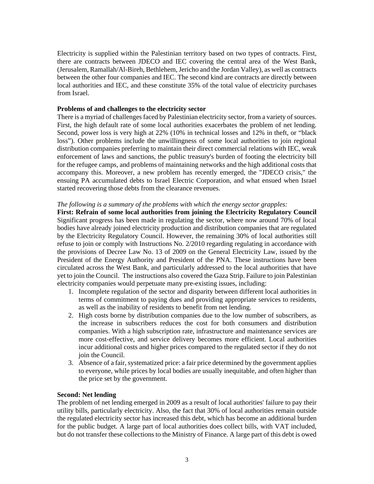Electricity is supplied within the Palestinian territory based on two types of contracts. First, there are contracts between JDECO and IEC covering the central area of the West Bank, (Jerusalem, Ramallah/Al-Bireh, Bethlehem, Jericho and the Jordan Valley), as well as contracts between the other four companies and IEC. The second kind are contracts are directly between local authorities and IEC, and these constitute 35% of the total value of electricity purchases from Israel.

## **Problems of and challenges to the electricity sector**

There is a myriad of challenges faced by Palestinian electricity sector, from a variety of sources. First, the high default rate of some local authorities exacerbates the problem of net lending. Second, power loss is very high at 22% (10% in technical losses and 12% in theft, or "black loss"). Other problems include the unwillingness of some local authorities to join regional distribution companies preferring to maintain their direct commercial relations with IEC, weak enforcement of laws and sanctions, the public treasury's burden of footing the electricity bill for the refugee camps, and problems of maintaining networks and the high additional costs that accompany this. Moreover, a new problem has recently emerged, the "JDECO crisis," the ensuing PA accumulated debts to Israel Electric Corporation, and what ensued when Israel started recovering those debts from the clearance revenues.

### *The following is a summary of the problems with which the energy sector grapples:*

**First: Refrain of some local authorities from joining the Electricity Regulatory Council** Significant progress has been made in regulating the sector, where now around 70% of local bodies have already joined electricity production and distribution companies that are regulated by the Electricity Regulatory Council. However, the remaining 30% of local authorities still refuse to join or comply with Instructions No. 2/2010 regarding regulating in accordance with the provisions of Decree Law No. 13 of 2009 on the General Electricity Law, issued by the President of the Energy Authority and President of the PNA. These instructions have been circulated across the West Bank, and particularly addressed to the local authorities that have yet to join the Council. The instructions also covered the Gaza Strip. Failure to join Palestinian electricity companies would perpetuate many pre-existing issues, including:

- 1. Incomplete regulation of the sector and disparity between different local authorities in terms of commitment to paying dues and providing appropriate services to residents, as well as the inability of residents to benefit from net lending.
- 2. High costs borne by distribution companies due to the low number of subscribers, as the increase in subscribers reduces the cost for both consumers and distribution companies. With a high subscription rate, infrastructure and maintenance services are more cost-effective, and service delivery becomes more efficient. Local authorities incur additional costs and higher prices compared to the regulated sector if they do not join the Council.
- 3. Absence of a fair, systematized price: a fair price determined by the government applies to everyone, while prices by local bodies are usually inequitable, and often higher than the price set by the government.

# **Second: Net lending**

The problem of net lending emerged in 2009 as a result of local authorities' failure to pay their utility bills, particularly electricity. Also, the fact that 30% of local authorities remain outside the regulated electricity sector has increased this debt, which has become an additional burden for the public budget. A large part of local authorities does collect bills, with VAT included, but do not transfer these collections to the Ministry of Finance. A large part of this debt is owed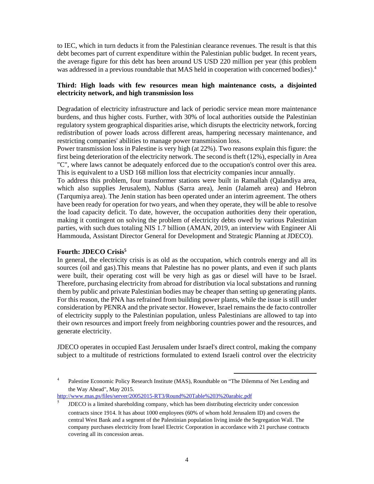to IEC, which in turn deducts it from the Palestinian clearance revenues. The result is that this debt becomes part of current expenditure within the Palestinian public budget. In recent years, the average figure for this debt has been around US USD 220 million per year (this problem was addressed in a previous roundtable that MAS held in cooperation with concerned bodies).<sup>4</sup>

# **Third: High loads with few resources mean high maintenance costs, a disjointed electricity network, and high transmission loss**

Degradation of electricity infrastructure and lack of periodic service mean more maintenance burdens, and thus higher costs. Further, with 30% of local authorities outside the Palestinian regulatory system geographical disparities arise, which disrupts the electricity network, forcing redistribution of power loads across different areas, hampering necessary maintenance, and restricting companies' abilities to manage power transmission loss.

Power transmission loss in Palestine is very high (at 22%). Two reasons explain this figure: the first being deterioration of the electricity network. The second is theft (12%), especially in Area "C", where laws cannot be adequately enforced due to the occupation's control over this area. This is equivalent to a USD 168 million loss that electricity companies incur annually.

To address this problem, four transformer stations were built in Ramallah (Qalandiya area, which also supplies Jerusalem), Nablus (Sarra area), Jenin (Jalameh area) and Hebron (Tarqumiya area). The Jenin station has been operated under an interim agreement. The others have been ready for operation for two years, and when they operate, they will be able to resolve the load capacity deficit. To date, however, the occupation authorities deny their operation, making it contingent on solving the problem of electricity debts owed by various Palestinian parties, with such dues totaling NIS 1.7 billion (AMAN, 2019, an interview with Engineer Ali Hammouda, Assistant Director General for Development and Strategic Planning at JDECO).

# **Fourth: JDECO Crisis5**

In general, the electricity crisis is as old as the occupation, which controls energy and all its sources (oil and gas).This means that Palestine has no power plants, and even if such plants were built, their operating cost will be very high as gas or diesel will have to be Israel. Therefore, purchasing electricity from abroad for distribution via local substations and running them by public and private Palestinian bodies may be cheaper than setting up generating plants. For this reason, the PNA has refrained from building power plants, while the issue is still under consideration by PENRA and the private sector. However, Israel remains the de facto controller of electricity supply to the Palestinian population, unless Palestinians are allowed to tap into their own resources and import freely from neighboring countries power and the resources, and generate electricity.

JDECO operates in occupied East Jerusalem under Israel's direct control, making the company subject to a multitude of restrictions formulated to extend Israeli control over the electricity

http://www.mas.ps/files/server/20052015-RT3/Round%20Table%203%20arabic.pdf

<sup>4</sup> Palestine Economic Policy Research Institute (MAS), Roundtable on "The Dilemma of Net Lending and the Way Ahead", May 2015.

<sup>&</sup>lt;sup>5</sup> JDECO is a limited shareholding company, which has been distributing electricity under concession contracts since 1914. It has about 1000 employees (60% of whom hold Jerusalem ID) and covers the central West Bank and a segment of the Palestinian population living inside the Segregation Wall. The company purchases electricity from Israel Electric Corporation in accordance with 21 purchase contracts covering all its concession areas.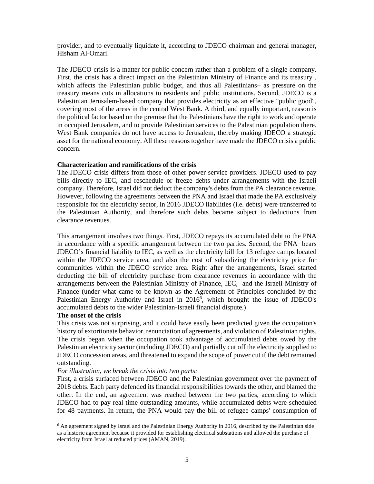provider, and to eventually liquidate it, according to JDECO chairman and general manager, Hisham Al-Omari.

The JDECO crisis is a matter for public concern rather than a problem of a single company. First, the crisis has a direct impact on the Palestinian Ministry of Finance and its treasury , which affects the Palestinian public budget, and thus all Palestinians– as pressure on the treasury means cuts in allocations to residents and public institutions. Second, JDECO is a Palestinian Jerusalem-based company that provides electricity as an effective "public good", covering most of the areas in the central West Bank. A third, and equally important, reason is the political factor based on the premise that the Palestinians have the right to work and operate in occupied Jerusalem, and to provide Palestinian services to the Palestinian population there. West Bank companies do not have access to Jerusalem, thereby making JDECO a strategic asset for the national economy. All these reasons together have made the JDECO crisis a public concern.

### **Characterization and ramifications of the crisis**

The JDECO crisis differs from those of other power service providers. JDECO used to pay bills directly to IEC, and reschedule or freeze debts under arrangements with the Israeli company. Therefore, Israel did not deduct the company's debts from the PA clearance revenue. However, following the agreements between the PNA and Israel that made the PA exclusively responsible for the electricity sector, in 2016 JDECO liabilities (i.e. debts) were transferred to the Palestinian Authority, and therefore such debts became subject to deductions from clearance revenues.

This arrangement involves two things. First, JDECO repays its accumulated debt to the PNA in accordance with a specific arrangement between the two parties. Second, the PNA bears JDECO's financial liability to IEC, as well as the electricity bill for 13 refugee camps located within the JDECO service area, and also the cost of subsidizing the electricity price for communities within the JDECO service area. Right after the arrangements, Israel started deducting the bill of electricity purchase from clearance revenues in accordance with the arrangements between the Palestinian Ministry of Finance, IEC, and the Israeli Ministry of Finance (under what came to be known as the Agreement of Principles concluded by the Palestinian Energy Authority and Israel in 2016<sup>6</sup>, which brought the issue of JDECO's accumulated debts to the wider Palestinian-Israeli financial dispute.)

#### **The onset of the crisis**

This crisis was not surprising, and it could have easily been predicted given the occupation's history of extortionate behavior, renunciation of agreements, and violation of Palestinian rights. The crisis began when the occupation took advantage of accumulated debts owed by the Palestinian electricity sector (including JDECO) and partially cut off the electricity supplied to JDECO concession areas, and threatened to expand the scope of power cut if the debt remained outstanding.

#### *For illustration, we break the crisis into two parts:*

First, a crisis surfaced between JDECO and the Palestinian government over the payment of 2018 debts. Each party defended its financial responsibilities towards the other, and blamed the other. In the end, an agreement was reached between the two parties, according to which JDECO had to pay real-time outstanding amounts, while accumulated debts were scheduled for 48 payments. In return, the PNA would pay the bill of refugee camps' consumption of

<sup>&</sup>lt;sup>6</sup> An agreement signed by Israel and the Palestinian Energy Authority in 2016, described by the Palestinian side as a historic agreement because it provided for establishing electrical substations and allowed the purchase of electricity from Israel at reduced prices (AMAN, 2019).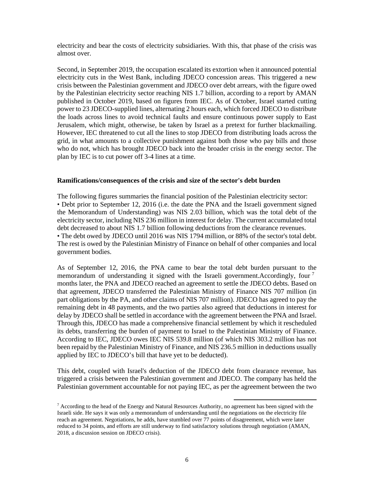electricity and bear the costs of electricity subsidiaries. With this, that phase of the crisis was almost over.

Second, in September 2019, the occupation escalated its extortion when it announced potential electricity cuts in the West Bank, including JDECO concession areas. This triggered a new crisis between the Palestinian government and JDECO over debt arrears, with the figure owed by the Palestinian electricity sector reaching NIS 1.7 billion, according to a report by AMAN published in October 2019, based on figures from IEC. As of October, Israel started cutting power to 23 JDECO-supplied lines, alternating 2 hours each, which forced JDECO to distribute the loads across lines to avoid technical faults and ensure continuous power supply to East Jerusalem, which might, otherwise, be taken by Israel as a pretext for further blackmailing. However, IEC threatened to cut all the lines to stop JDECO from distributing loads across the grid, in what amounts to a collective punishment against both those who pay bills and those who do not, which has brought JDECO back into the broader crisis in the energy sector. The plan by IEC is to cut power off 3-4 lines at a time.

### **Ramifications/consequences of the crisis and size of the sector's debt burden**

The following figures summaries the financial position of the Palestinian electricity sector: • Debt prior to September 12, 2016 (i.e. the date the PNA and the Israeli government signed the Memorandum of Understanding) was NIS 2.03 billion, which was the total debt of the electricity sector, including NIS 236 million in interest for delay. The current accumulated total debt decreased to about NIS 1.7 billion following deductions from the clearance revenues. • The debt owed by JDECO until 2016 was NIS 1794 million, or 88% of the sector's total debt. The rest is owed by the Palestinian Ministry of Finance on behalf of other companies and local government bodies.

As of September 12, 2016, the PNA came to bear the total debt burden pursuant to the memorandum of understanding it signed with the Israeli government.Accordingly, four<sup>7</sup> months later, the PNA and JDECO reached an agreement to settle the JDECO debts. Based on that agreement, JDECO transferred the Palestinian Ministry of Finance NIS 707 million (in part obligations by the PA, and other claims of NIS 707 million). JDECO has agreed to pay the remaining debt in 48 payments, and the two parties also agreed that deductions in interest for delay by JDECO shall be settled in accordance with the agreement between the PNA and Israel. Through this, JDECO has made a comprehensive financial settlement by which it rescheduled its debts, transferring the burden of payment to Israel to the Palestinian Ministry of Finance. According to IEC, JDECO owes IEC NIS 539.8 million (of which NIS 303.2 million has not been repaid by the Palestinian Ministry of Finance, and NIS 236.5 million in deductions usually applied by IEC to JDECO's bill that have yet to be deducted).

This debt, coupled with Israel's deduction of the JDECO debt from clearance revenue, has triggered a crisis between the Palestinian government and JDECO. The company has held the Palestinian government accountable for not paying IEC, as per the agreement between the two

<sup>&</sup>lt;sup>7</sup> According to the head of the Energy and Natural Resources Authority, no agreement has been signed with the Israeli side. He says it was only a memorandum of understanding until the negotiations on the electricity file reach an agreement. Negotiations, he adds, have stumbled over 77 points of disagreement, which were later reduced to 34 points, and efforts are still underway to find satisfactory solutions through negotiation (AMAN, 2018, a discussion session on JDECO crisis).